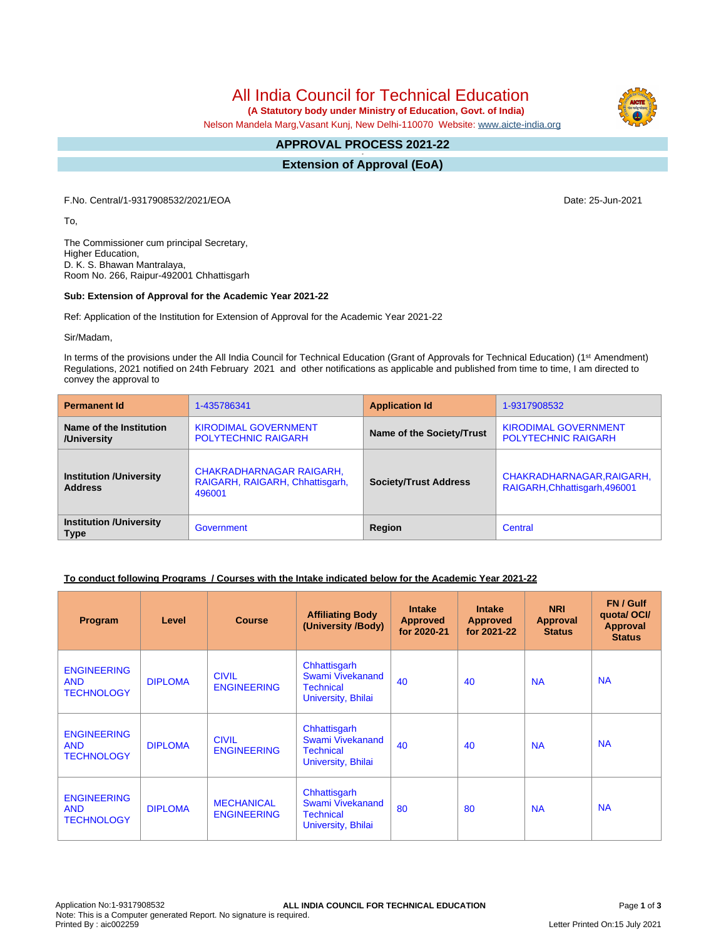# All India Council for Technical Education

 **(A Statutory body under Ministry of Education, Govt. of India)**

Nelson Mandela Marg,Vasant Kunj, New Delhi-110070 Website: [www.aicte-india.org](http://www.aicte-india.org)

#### **APPROVAL PROCESS 2021-22 -**

**Extension of Approval (EoA)**

F.No. Central/1-9317908532/2021/EOA Date: 25-Jun-2021

To,

The Commissioner cum principal Secretary, Higher Education, D. K. S. Bhawan Mantralaya, Room No. 266, Raipur-492001 Chhattisgarh

#### **Sub: Extension of Approval for the Academic Year 2021-22**

Ref: Application of the Institution for Extension of Approval for the Academic Year 2021-22

Sir/Madam,

In terms of the provisions under the All India Council for Technical Education (Grant of Approvals for Technical Education) (1<sup>st</sup> Amendment) Regulations, 2021 notified on 24th February 2021 and other notifications as applicable and published from time to time, I am directed to convey the approval to

| <b>Permanent Id</b>                              | 1-435786341                                                           | <b>Application Id</b>        | 1-9317908532                                               |  |
|--------------------------------------------------|-----------------------------------------------------------------------|------------------------------|------------------------------------------------------------|--|
| Name of the Institution<br>/University           | <b>KIRODIMAL GOVERNMENT</b><br><b>POLYTECHNIC RAIGARH</b>             | Name of the Society/Trust    | <b>KIRODIMAL GOVERNMENT</b><br><b>POLYTECHNIC RAIGARH</b>  |  |
| <b>Institution /University</b><br><b>Address</b> | CHAKRADHARNAGAR RAIGARH,<br>RAIGARH, RAIGARH, Chhattisgarh,<br>496001 | <b>Society/Trust Address</b> | CHAKRADHARNAGAR, RAIGARH,<br>RAIGARH, Chhattisgarh, 496001 |  |
| <b>Institution /University</b><br><b>Type</b>    | Government                                                            | Region                       | Central                                                    |  |

# **To conduct following Programs / Courses with the Intake indicated below for the Academic Year 2021-22**

| Program                                               | Level          | <b>Course</b>                           | <b>Affiliating Body</b><br>(University /Body)                              | <b>Intake</b><br><b>Approved</b><br>for 2020-21 | <b>Intake</b><br><b>Approved</b><br>for 2021-22 | <b>NRI</b><br><b>Approval</b><br><b>Status</b> | FN / Gulf<br>quotal OCI/<br><b>Approval</b><br><b>Status</b> |
|-------------------------------------------------------|----------------|-----------------------------------------|----------------------------------------------------------------------------|-------------------------------------------------|-------------------------------------------------|------------------------------------------------|--------------------------------------------------------------|
| <b>ENGINEERING</b><br><b>AND</b><br><b>TECHNOLOGY</b> | <b>DIPLOMA</b> | <b>CIVIL</b><br><b>ENGINEERING</b>      | Chhattisgarh<br>Swami Vivekanand<br><b>Technical</b><br>University, Bhilai | 40                                              | 40                                              | <b>NA</b>                                      | <b>NA</b>                                                    |
| <b>ENGINEERING</b><br><b>AND</b><br><b>TECHNOLOGY</b> | <b>DIPLOMA</b> | <b>CIVIL</b><br><b>ENGINEERING</b>      | Chhattisgarh<br>Swami Vivekanand<br><b>Technical</b><br>University, Bhilai | 40                                              | 40                                              | <b>NA</b>                                      | <b>NA</b>                                                    |
| <b>ENGINEERING</b><br><b>AND</b><br><b>TECHNOLOGY</b> | <b>DIPLOMA</b> | <b>MECHANICAL</b><br><b>ENGINEERING</b> | Chhattisgarh<br>Swami Vivekanand<br>Technical<br>University, Bhilai        | 80                                              | 80                                              | <b>NA</b>                                      | <b>NA</b>                                                    |

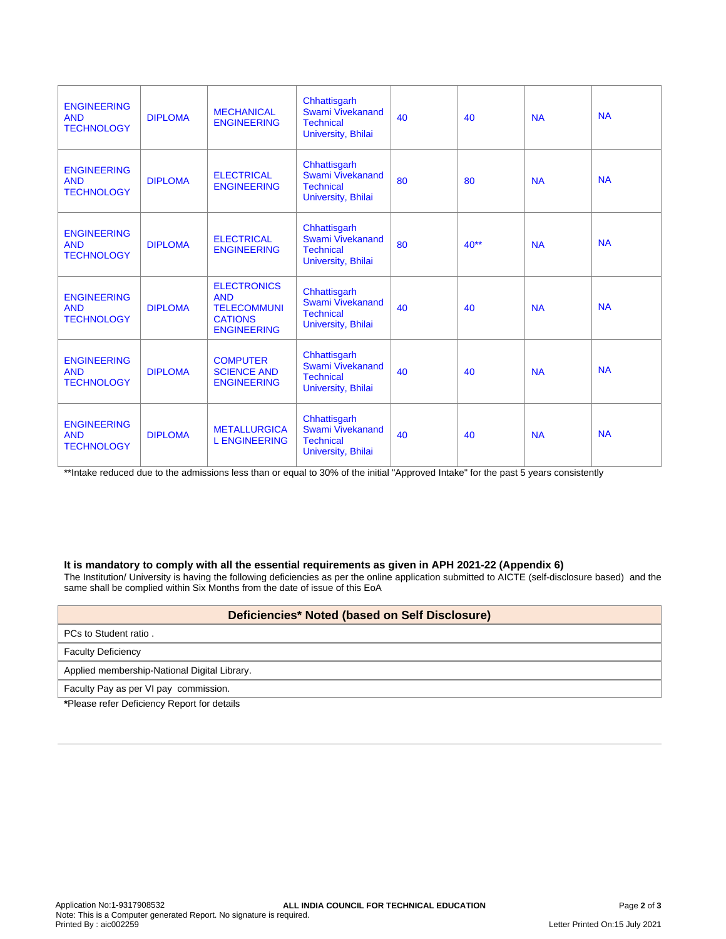| <b>ENGINEERING</b><br><b>AND</b><br><b>TECHNOLOGY</b> | <b>DIPLOMA</b> | <b>MECHANICAL</b><br><b>ENGINEERING</b>                                                        | Chhattisgarh<br>Swami Vivekanand<br><b>Technical</b><br>University, Bhilai        | 40 | 40     | <b>NA</b> | <b>NA</b> |
|-------------------------------------------------------|----------------|------------------------------------------------------------------------------------------------|-----------------------------------------------------------------------------------|----|--------|-----------|-----------|
| <b>ENGINEERING</b><br><b>AND</b><br><b>TECHNOLOGY</b> | <b>DIPLOMA</b> | <b>ELECTRICAL</b><br><b>ENGINEERING</b>                                                        | Chhattisgarh<br>Swami Vivekanand<br><b>Technical</b><br>University, Bhilai        | 80 | 80     | <b>NA</b> | <b>NA</b> |
| <b>ENGINEERING</b><br><b>AND</b><br><b>TECHNOLOGY</b> | <b>DIPLOMA</b> | <b>ELECTRICAL</b><br><b>ENGINEERING</b>                                                        | Chhattisgarh<br>Swami Vivekanand<br><b>Technical</b><br>University, Bhilai        | 80 | $40**$ | <b>NA</b> | <b>NA</b> |
| <b>ENGINEERING</b><br><b>AND</b><br><b>TECHNOLOGY</b> | <b>DIPLOMA</b> | <b>ELECTRONICS</b><br><b>AND</b><br><b>TELECOMMUNI</b><br><b>CATIONS</b><br><b>ENGINEERING</b> | Chhattisgarh<br><b>Swami Vivekanand</b><br><b>Technical</b><br>University, Bhilai | 40 | 40     | <b>NA</b> | <b>NA</b> |
| <b>ENGINEERING</b><br><b>AND</b><br><b>TECHNOLOGY</b> | <b>DIPLOMA</b> | <b>COMPUTER</b><br><b>SCIENCE AND</b><br><b>ENGINEERING</b>                                    | Chhattisgarh<br>Swami Vivekanand<br><b>Technical</b><br>University, Bhilai        | 40 | 40     | <b>NA</b> | <b>NA</b> |
| <b>ENGINEERING</b><br><b>AND</b><br><b>TECHNOLOGY</b> | <b>DIPLOMA</b> | <b>METALLURGICA</b><br><b>L ENGINEERING</b>                                                    | Chhattisgarh<br>Swami Vivekanand<br><b>Technical</b><br>University, Bhilai        | 40 | 40     | <b>NA</b> | <b>NA</b> |

\*\*Intake reduced due to the admissions less than or equal to 30% of the initial "Approved Intake" for the past 5 years consistently

# **It is mandatory to comply with all the essential requirements as given in APH 2021-22 (Appendix 6)**

The Institution/ University is having the following deficiencies as per the online application submitted to AICTE (self-disclosure based) and the same shall be complied within Six Months from the date of issue of this EoA

# **Deficiencies\* Noted (based on Self Disclosure)**

# PCs to Student ratio .

# Faculty Deficiency

Applied membership-National Digital Library.

Faculty Pay as per VI pay commission.

**\***Please refer Deficiency Report for details